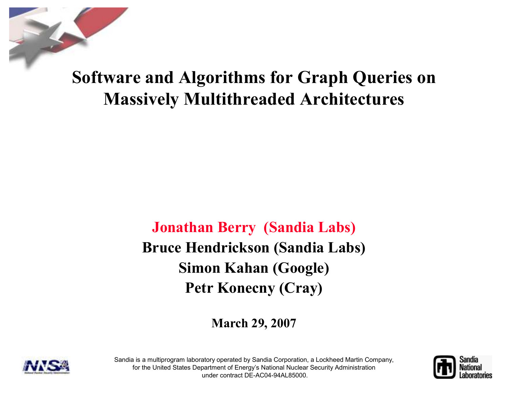Software and Algorithms for Graph Queries on Massively Multithreaded Architectures

> Jonathan Berry (Sandia Labs)Bruce Hendrickson (Sandia Labs) Simon Kahan (Google) Petr Konecny (Cray)

> > March 29, 2007





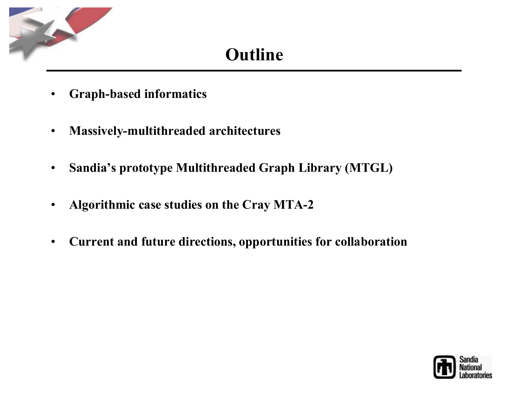

## Outline

- •Graph-based informatics
- $\bullet$ Massively-multithreaded architectures
- $\bullet$ Sandia's prototype Multithreaded Graph Library (MTGL)
- $\bullet$ Algorithmic case studies on the Cray MTA-2
- $\bullet$ Current and future directions, opportunities for collaboration

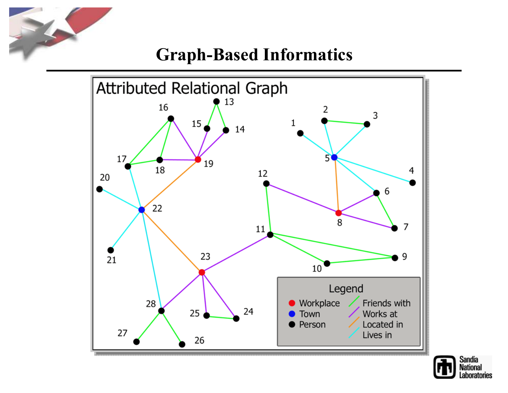

#### Graph-Based Informatics



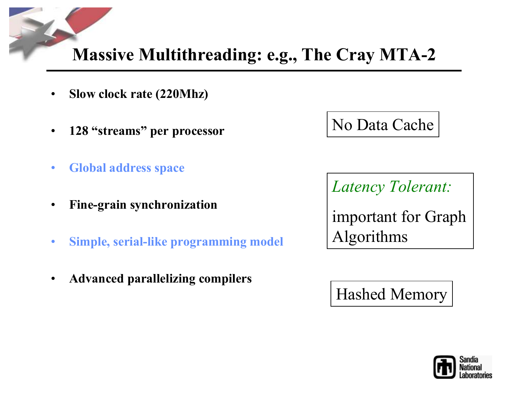## Massive Multithreading: e.g., The Cray MTA-2

- •Slow clock rate (220Mhz)
- $\bullet$ 128 "streams" per processor
- •Global address space
- •Fine-grain synchronization
- •Simple, serial-like programming model
- •Advanced parallelizing compilers

## No Data Cache

Latency Tolerant:

important for Graph Algorithms

Hashed Memory

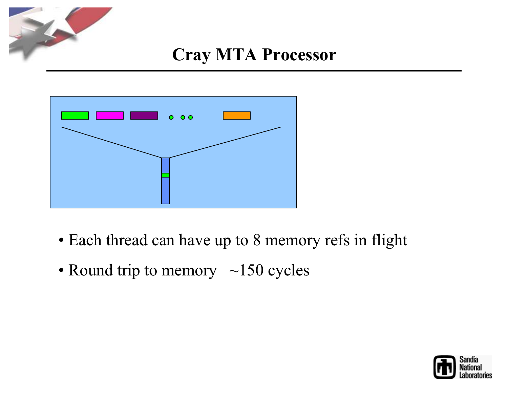

#### Cray MTA Processor



- Each thread can have up to 8 memory refs in flight
- Round trip to memory  $\sim$ 150 cycles

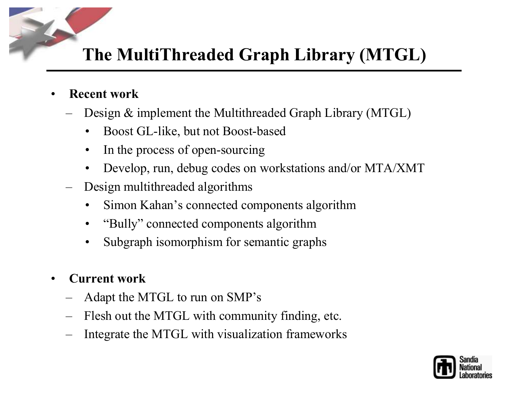## The MultiThreaded Graph Library (MTGL)

- • Recent work
	- Design & implement the Multithreaded Graph Library (MTGL)
		- •Boost GL-like, but not Boost-based
		- $\bullet$ In the process of open-sourcing
		- •Develop, run, debug codes on workstations and/or MTA/XMT
	- – Design multithreaded algorithms
		- •Simon Kahan's connected components algorithm
		- •"Bully" connected components algorithm
		- Subgraph isomorphism for semantic graphs •
- • Current work
	- –Adapt the MTGL to run on SMP's
	- –Flesh out the MTGL with community finding, etc.
	- Integrate the MTGL with visualization frameworks

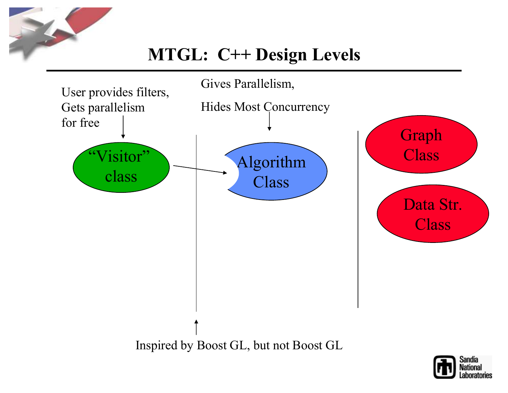

## MTGL: C++ Design Levels



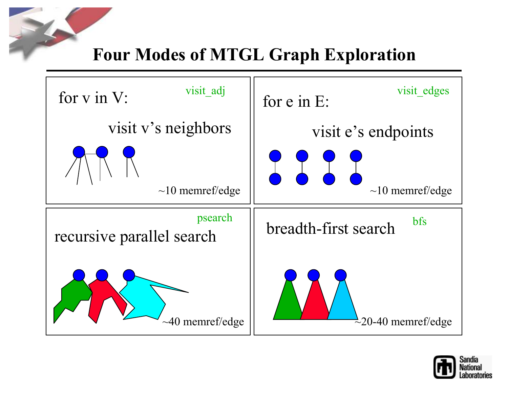### Four Modes of MTGL Graph Exploration



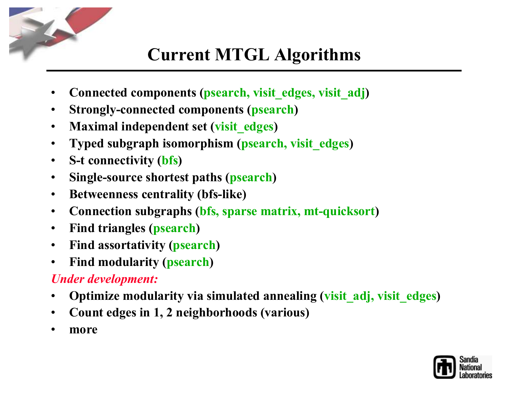

## Current MTGL Algorithms

- •• Connected components (psearch, visit\_edges, visit\_adj)
- $\bullet$ Strongly-connected components (psearch)
- •Maximal independent set (visit\_edges)
- $\bullet$ Typed subgraph isomorphism (psearch, visit\_edges )
- $\bullet$ • S-t connectivity (bfs)
- $\bullet$ • Single-source shortest paths (psearch)
- $\bullet$ Betweenness centrality (bfs-like)
- $\bullet$ Connection subgraphs (bfs, sparse matrix, mt-quicksort )
- $\bullet$ • Find triangles (psearch)
- Find assortativity (psearch)  $\bullet$
- $\bullet$ • Find modularity (<mark>psearch</mark>)

#### Under development:

- •• Optimize modularity via simulated annealing (visit\_adj, visit\_edges)
- •Count edges in 1, 2 neighborhoods (various)
- •more

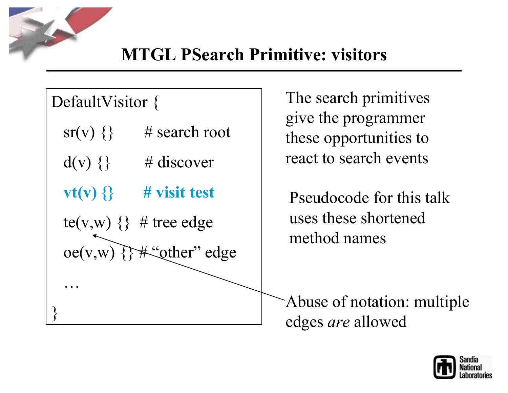

…

}<br>}

# DefaultVisitor {

- $sr(v)$  {} # search root
- $d(v) \{\}$  # discover
- $vt(v)$  {} # visit test
- te(v,w)  $\{\}$  # tree edge

 $oe(v,w)$  {}#" other" edge

The search primitives give the programmer these opportunities to react to search events

Pseudocode for this talk uses these shortened method names

Abuse of notation: multiple edges *are* allowed

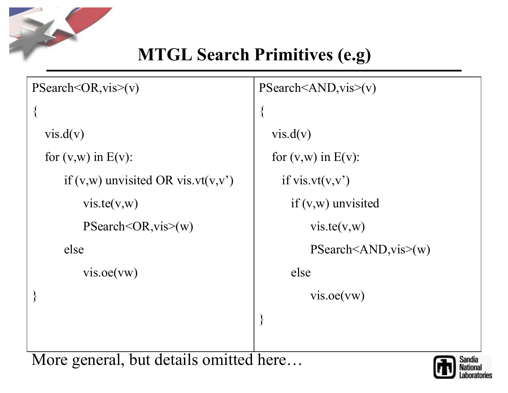

# MTGL Search Primitives (e.g)

| PSearch < OR, vis>(v)                                                                | PSearch <and, vis="">(v)</and,> |  |  |  |  |  |  |
|--------------------------------------------------------------------------------------|---------------------------------|--|--|--|--|--|--|
|                                                                                      | $\{$                            |  |  |  |  |  |  |
| vis.d(v)                                                                             | vis.d(v)                        |  |  |  |  |  |  |
| for $(v,w)$ in $E(v)$ :                                                              | for $(v,w)$ in $E(v)$ :         |  |  |  |  |  |  |
| if $(v,w)$ unvisited OR vis.vt $(v,v')$                                              | if vis.vt $(v, v')$             |  |  |  |  |  |  |
| vis.te(v,w)                                                                          | if $(v,w)$ unvisited            |  |  |  |  |  |  |
| $PSearch < OR$ , vis $>(w)$                                                          | vis.te(v,w)                     |  |  |  |  |  |  |
| else                                                                                 | PSearch < AND, vis > (w)        |  |  |  |  |  |  |
| vis.oe(vw)                                                                           | else                            |  |  |  |  |  |  |
|                                                                                      | vis.oe(vw)                      |  |  |  |  |  |  |
|                                                                                      | $\left\{ \right\}$              |  |  |  |  |  |  |
| $\mathbf{A}$ and $\mathbf{A}$ and $\mathbf{A}$<br>$• -$<br>$\mathbf{A}$<br>$\bullet$ | $\blacksquare$                  |  |  |  |  |  |  |

More general, but details omitted here…

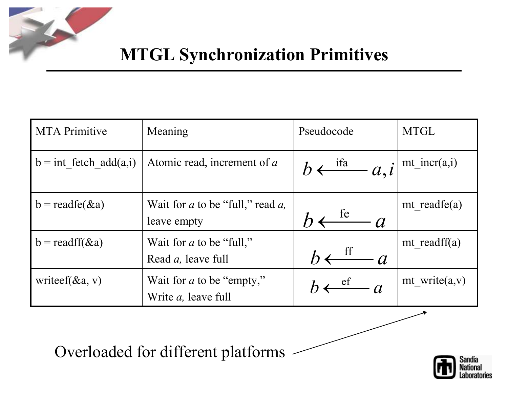

## MTGL Synchronization Primitives

| <b>MTA Primitive</b>     | Meaning                                                         | Pseudocode                                                     | <b>MTGL</b>       |  |  |
|--------------------------|-----------------------------------------------------------------|----------------------------------------------------------------|-------------------|--|--|
| $b = int$ fetch add(a,i) | Atomic read, increment of a                                     | $b \leftarrow \frac{\text{ifa}}{a, i}   \text{mt\_incr(a, i)}$ |                   |  |  |
| $b = readfe(\&a)$        | Wait for $a$ to be "full," read $a$ ,<br>leave empty            | te<br>$\overline{a}$                                           | mt readfe $(a)$   |  |  |
| $b = readff(\&a)$        | Wait for $a$ to be "full,"<br>Read <i>a</i> , leave full        |                                                                | mt readff $(a)$   |  |  |
| write $f(x_1, v)$        | Wait for <i>a</i> to be "empty,"<br>Write <i>a</i> , leave full | $\sqrt{ef}$ and $q$                                            | mt write $(a, v)$ |  |  |

Overloaded for different platforms

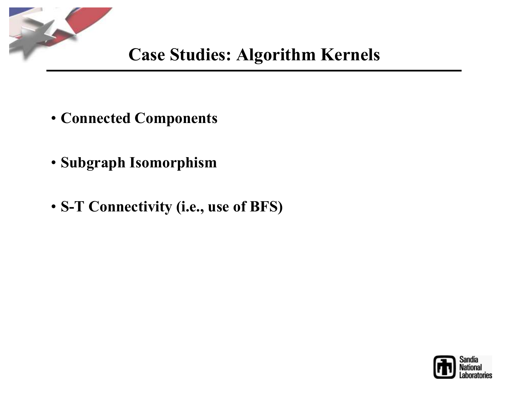

- Connected Components
- Subgraph Isomorphism
- S-T Connectivity (i.e., use of BFS)

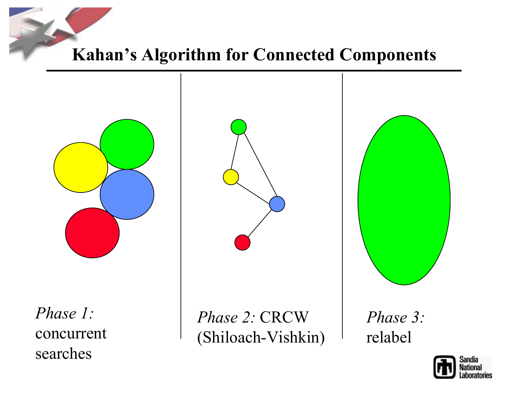

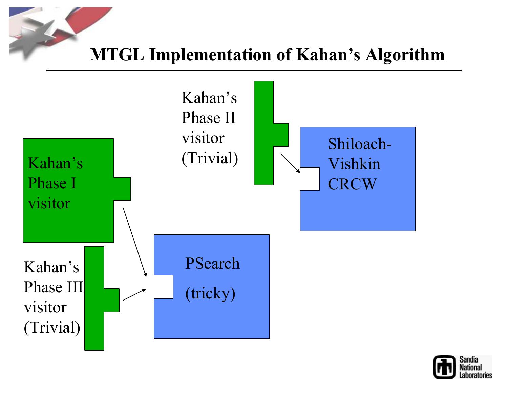#### MTGL Implementation of Kahan's Algorithm



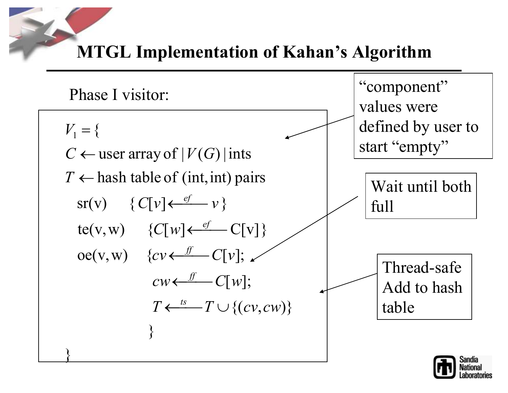MTGL Implementation of Kahan's Algorithm

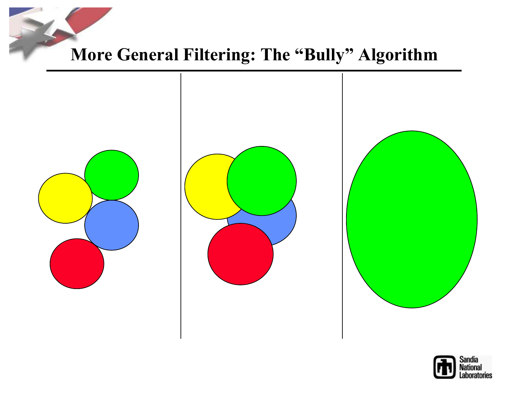More General Filtering: The "Bully" Algorithm



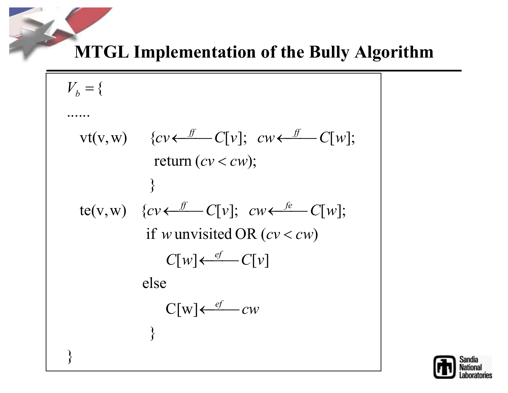MTGL Implementation of the Bully Algorithm

$$
V_b = \{
$$
  
\n
$$
\dots
$$
  
\n
$$
vt(v, w) \quad \{cv \leftarrow \frac{f}{c} - C[v]; \quad cw \leftarrow \frac{f}{c} - C[w];
$$
  
\n
$$
\}
$$
  
\n
$$
te(v, w) \quad \{cv \leftarrow \frac{f}{c} - C[v]; \quad cw \leftarrow \frac{f}{c} - C[w];
$$
  
\n
$$
if w unvisited OR (cv < cw)
$$
  
\n
$$
C[w] \leftarrow \frac{ef}{c} - C[v]
$$
  
\n
$$
else
$$
  
\n
$$
C[w] \leftarrow \frac{ef}{c} - cw
$$

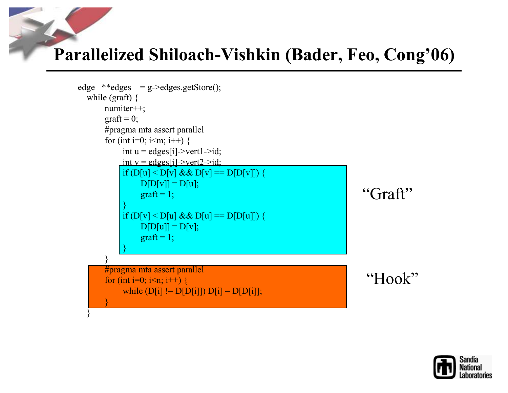#### Parallelized Shiloach-Vishkin (Bader, Feo, Cong'06)

```
edge **edges = g->edges.getStore();
  while (graft) \{
numiter++;graft = 0;
      #pragma mta assert parallel
      for (int i=0; i i \midden i++) {
           int u = edges[i]->vert1->id;
           int v = edges[i]->vert2->id;
           if (D[u] < D[v] \& \& D[v] == D[D[v]])D[D[v]] = D[u];graff = 1;}if (D[v] < D[u] \&\& D[u] == D[D[u]])D[D[u]] = D[v];graff = 1;}}
#pragma mta assert parallel
       for (int i=0; i<n; i++) {
           while (D[i] := D[D[i]]) D[i] = D[D[i]];}}"Graft""Hook"
```
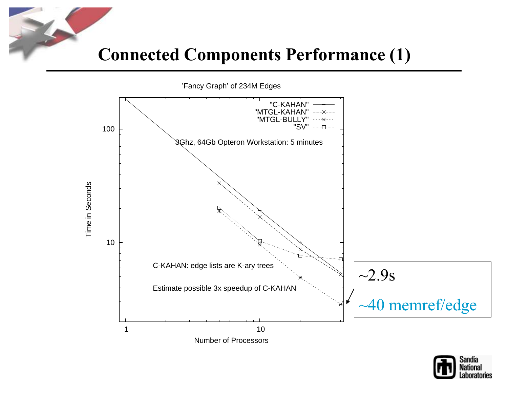#### Connected Components Performance (1)



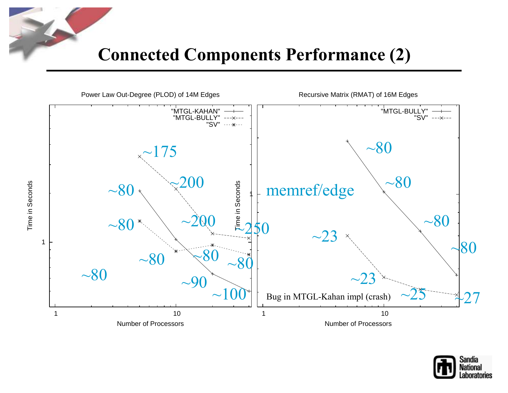



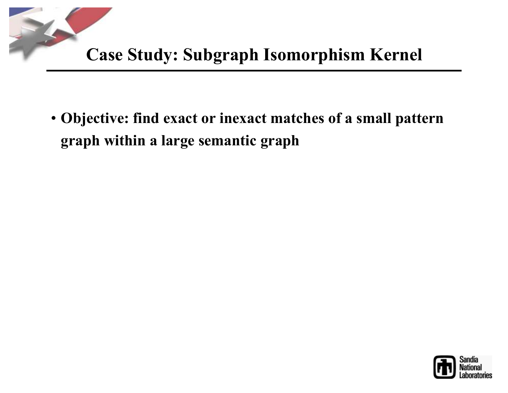

• Objective: find exact or inexact matches of a small pattern graph within a large semantic graph

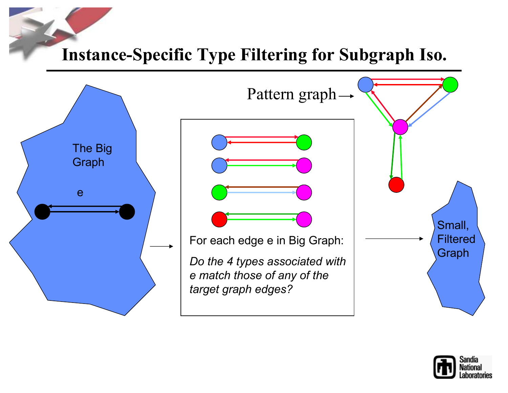#### Instance-Specific Type Filtering for Subgraph Iso.



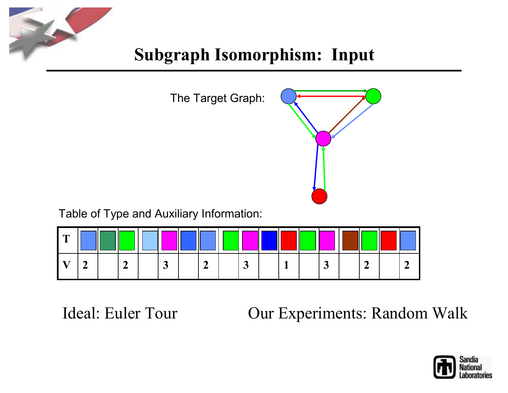

## Subgraph Isomorphism: Input



Table of Type and Auxiliary Information:

| $\sqrt{ }$ |  | $\parallel$ |   |  |  |  |  |  |  |
|------------|--|-------------|---|--|--|--|--|--|--|
|            |  |             | ັ |  |  |  |  |  |  |

Ideal: Euler Tour **Canadian Cour Experiments: Random Walk** 

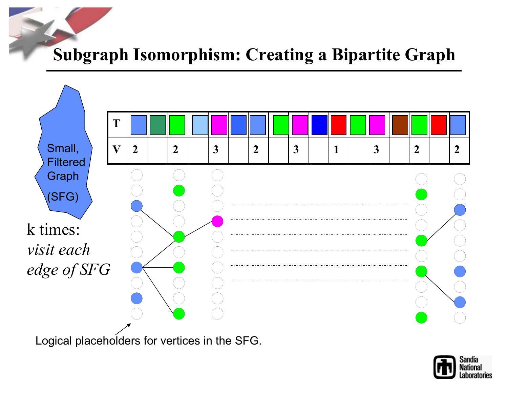#### Subgraph Isomorphism: Creating a Bipartite Graph



Logical placeholders for vertices in the SFG.

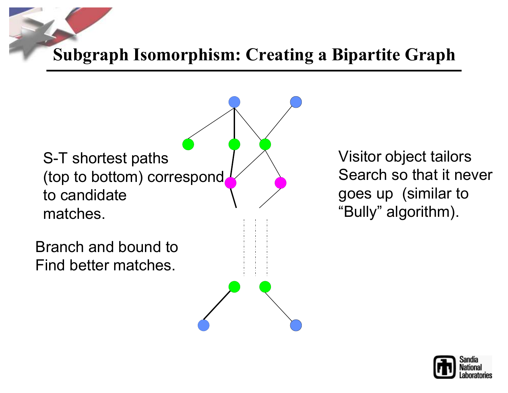Subgraph Isomorphism: Creating a Bipartite Graph

S-T shortest paths (top to bottom) correspond to candidatematches.Branch and bound toFind better matches.

Visitor object tailors Search so that it nevergoes up (similar to"Bully" algorithm).

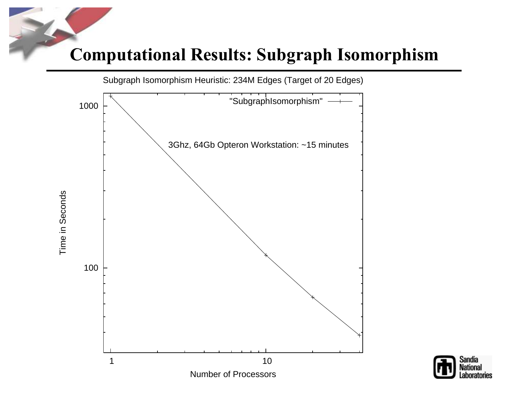#### Computational Results: Subgraph Isomorphism





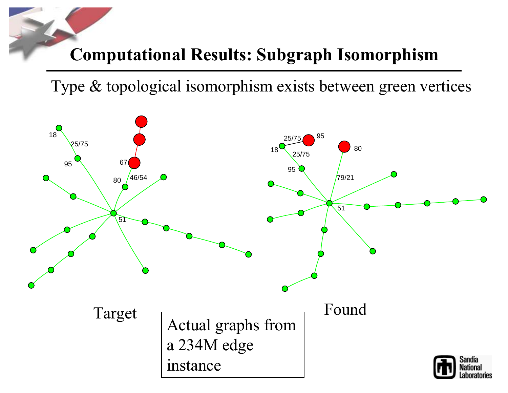#### Computational Results: Subgraph Isomorphism

Type & topological isomorphism exists between green vertices

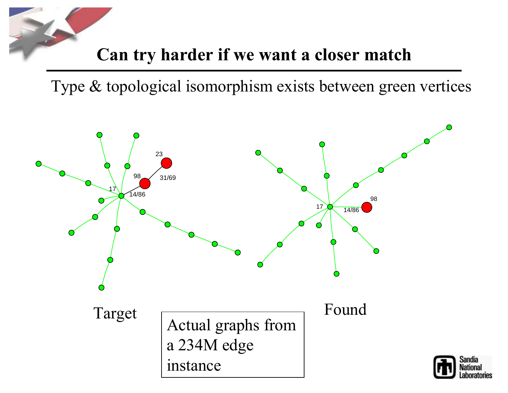

Type & topological isomorphism exists between green vertices

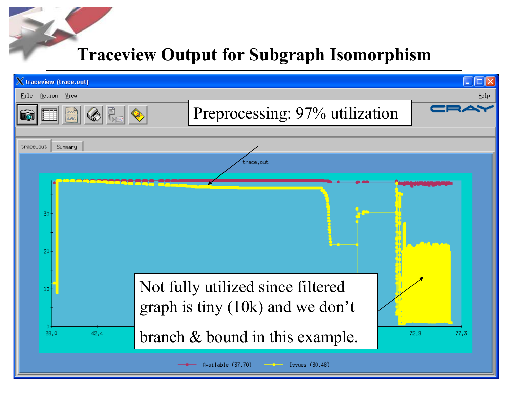#### Traceview Output for Subgraph Isomorphism

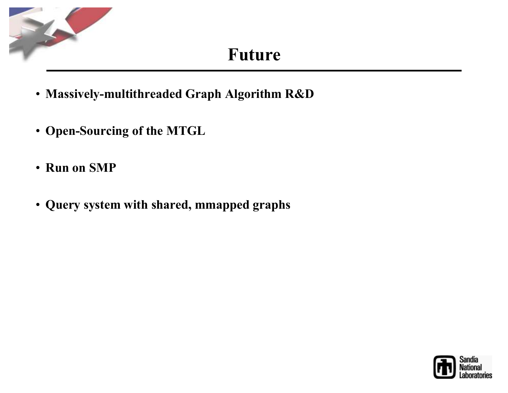

#### Future

- Massively-multithreaded Graph Algorithm R&D
- Open-Sourcing of the MTGL
- Run on SMP
- Query system with shared, mmapped graphs